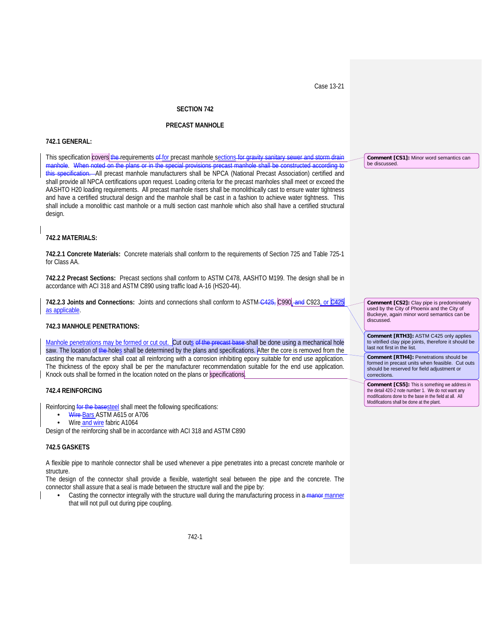Case 13-21

## **SECTION 742**

## **PRECAST MANHOLE**

#### **742.1 GENERAL:**

This specification covers the requirements of for precast manhole sections for gravity sanitary sewer and storm drain manhole. When noted<br>this specification All -All precast manhole manufacturers shall be NPCA (National Precast Association) certified and shall provide all NPCA certifications upon request. Loading criteria for the precast manholes shall meet or exceed the AASHTO H20 loading requirements. All precast manhole risers shall be monolithically cast to ensure water tightness and have a certified structural design and the manhole shall be cast in a fashion to achieve water tightness. This shall include a monolithic cast manhole or a multi section cast manhole which also shall have a certified structural design.

## **742.2 MATERIALS:**

**742.2.1 Concrete Materials:** Concrete materials shall conform to the requirements of Section 725 and Table 725-1 for Class AA.

**742.2.2 Precast Sections:** Precast sections shall conform to ASTM C478, AASHTO M199. The design shall be in accordance with ACI 318 and ASTM C890 using traffic load A-16 (HS20-44).

**742.2.3 Joints and Connections:** Joints and connections shall conform to ASTM C425, C990, and C923, or C425 as applicable.

## **742.3 MANHOLE PENETRATIONS:**

Manhole penetrations may be formed or cut out. Cut outs of the precast base-shall be done using a mechanical hole saw. The location of the holes shall be determined by the plans and specifications. After the core is removed from the casting the manufacturer shall coat all reinforcing with a corrosion inhibiting epoxy suitable for end use application. The thickness of the epoxy shall be per the manufacturer recommendation suitable for the end use application. Knock outs shall be formed in the location noted on the plans or specifications.

## **742.4 REINFORCING**

Reinforcing for the basesteel shall meet the following specifications:

- Wire-Bars ASTM A615 or A706
- Wire and wire fabric A1064

Design of the reinforcing shall be in accordance with ACI 318 and ASTM C890

#### **742.5 GASKETS**

A flexible pipe to manhole connector shall be used whenever a pipe penetrates into a precast concrete manhole or structure.

The design of the connector shall provide a flexible, watertight seal between the pipe and the concrete. The connector shall assure that a seal is made between the structure wall and the pipe by:

Casting the connector integrally with the structure wall during the manufacturing process in a manner that will not pull out during pipe coupling.

**Comment [CS1]:** Minor word semantics can be discussed.

**Comment [CS2]:** Clay pipe is predominately used by the City of Phoenix and the City of Buckeye, again minor word semantics can be discussed.

**Comment [RTH3]:** ASTM C425 only applies to vitrified clay pipe joints, therefore it should be last not first in the list.

**Comment [RTH4]:** Penetrations should be formed in precast units when feasible. Cut outs should be reserved for field adjustment or corrections.

**Comment [CS5]:** This is something we address in the detail 420-2 note number 1. We do not want any modifications done to the base in the field at all. All Modifications shall be done at the plant.